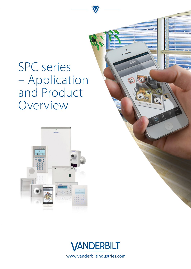# SPC series – Application and Product Overview





Tal 10

www.vanderbiltindustries.com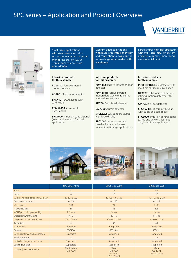# SPC series – Application and Product Overview

# **VANDERBILT**



Small sized applications with stand-alone intrusion system connected to a Central Monitoring Station (CMS) – small convenience store or residential

#### **Intrusion products for this example:**

PDM-I12: Passive infrared motion detector

**AD700:** Glass break detector

**SPCK421:** LCD keypad with card reader

**CCMS2010:** Compact IP Camera WIFI

**SPC4000:** Intrusion control panel (wired and wireless) for small applications

Medium sized applications with multi-area intrusion system and connection to own control room – large supermarket with warehouse

### **Intrusion products for this example:**

**PDM-I12:** Passive infrared motion detector

**PDM-I18T:** Passive infrared motion detector with real-time antimask surveillance

**AD700:** Glass break detector

**GM730:** Seismic detector

**SPCK620:** LCD comfort keypad with large display

**SPC5000:** Intrusion control panel (wired and wireless) for medium till large applications

### Large and/or high-risk applicatins with multi-site intrusion system and central/remote monitoring – commercial bank

#### **Intrusion products for this example:**

**PDM-IXx18T:** Dual detector with real-time antimask surveillance

**UP370T:** Ultrasonic and passive infrared motion detector with antimask

**GM775:** Seismic detector

**SPCK623:** LCD comfort keypad with audio and card reader

**SPC6000:** Intrusion control panel (wired and wireless) for large and/or high-risk applications







|                                     | SPC Series 4000            | SPC Series 5000                                 | SPC Series 6000                     |
|-------------------------------------|----------------------------|-------------------------------------------------|-------------------------------------|
| Areas                               | $\overline{4}$             | 16                                              | 60                                  |
| Keypads                             | $\overline{4}$             | 16                                              | 32                                  |
| Wired / wireless zones (min.  max.) | 8.32/8.32                  | 8.128/16.120                                    | 8.512/16.120                        |
| Outputs (min.  max.)                | 6.30                       | 6.128                                           | 6.512                               |
| Users (max.)                        | 100                        | 500                                             | 2500                                |
| X-BUS devices                       | 11                         | 48                                              | 128                                 |
| X-BUS ports / loop capability       | 1 / None                   | $2$ / yes                                       | 2 / yes                             |
| Doors (entry/entry-exit)            | 4/2                        | 32/16                                           | 64/32                               |
| Log events Intrusion / Access       | 1000/1000                  | 10000 / 10000                                   | 10000 / 10000                       |
| Calendars                           | $\overline{4}$             | 32                                              | 64                                  |
| Web-Server                          | integrated                 | integrated                                      | integrated                          |
| Ethernet                            | SPC43xx                    | SPC53xx                                         | SPC63xx                             |
| Voice assistance and verification   | Supported                  | Supported                                       | Supported                           |
| Verification zones                  | $\overline{4}$             | 8                                               | 32                                  |
| Individual language for users       | Supported                  | Supported                                       | Supported                           |
| <b>Banking functions</b>            | Supported                  | Supported                                       | Supported                           |
| Cabinet (max. battery size)         | Plastic/Metal<br>(G2:7 Ah) | Metal<br>(G2:7 Ah)<br>G3: 17 Ah<br>G5: 2x27 Ah) | Metal<br>(G3: 17 Ah<br>G5: 2x27 Ah) |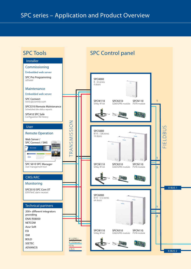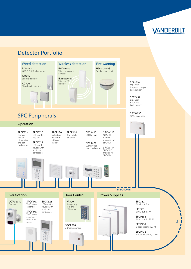

Loop

V Ä ĝ **I** I  $\sqrt{2}$  $\overline{I}$ 

## Detector Portfolio

PDM-Ixx MAGIC PIR/Dual detector

GM7xx Seismic detector

AD700 Glass break detector



### Wired detection Wireless detection Fire warning IMKW6-10

Wireless magnet contact IR160W6-10 Wireless PIR detector



#### SPCE652 Expander 8 inputs, 2 outputs, back tamper

SPCE452 Expander 8 outputs, back tamper

SPCW130 SiWay expander

**max.** 400 m

# SPC Peripherals

### Operation

SPCK620 LCD comfort keypad SPCK623 LCD comfort keypad with audio and card reader SPCE120 Indication expander with card reader SPCE110 Key switch expander SPCK420 LCD keypad SPCK421 LCD keypad with card reader Door Control Power Supplies SPCW112 SiWay RF module universal for SPCK42x SPCW114 SiWAY RF module for SPCK52x SPCK52x Compact keypad with audio and opt. card reader

### Verification

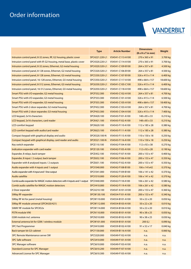# Order information

# VANDERBILT

|                                                                                        | <b>Type</b>    | <b>Article Number</b> | <b>Dimensions</b>              | Weight     |
|----------------------------------------------------------------------------------------|----------------|-----------------------|--------------------------------|------------|
|                                                                                        |                |                       | $(B \times H \times T)$ in mm) |            |
| Intrusion control panel, 8-32 zones, RF, G2 housing, plastic cover                     | SPC4221.220-L1 | V54541-C113-A100      | 270 x 365 x 91                 | 3.700 kg   |
| Intrusion control panel with IP, G2-housing, metal base, plastic cover                 | SPC4320.220-L1 | V54541-C114-A100      | 270 x 365 x 91                 | 3.700 kg   |
| Intrusion control panel, 8-32 zones, Ethernet, G2 metal housing                        | SPC4320.320-L1 | V54541-C109-B100      | 264 x 357 x 81                 | 4.500 kg   |
| Intrusion control panel, 8-128 zones, Ethernet, G2 metal housing                       | SPC5320.320-L1 | V54541-C106-B100      | 264 x 357 x 81                 | 4.500 kg   |
| Intrusion control panel, 8-128 zones, Ethernet, G3 metal housing                       | SPC5330.320-L1 | V54541-C107-B100      | 326 x 415 x 114                | 6.400 kg   |
| Intrusion control panel, 16-128 zones, Ethernet, G5 metal housing                      | SPC5350.320-L1 | V54541-C117-A100      | 498 x 664 x 157                | 18.600 kg  |
| Intrusion control panel, 8-512 zones, Ethernet, G3 metal housing                       | SPC6330.320-L1 | V54541-C105-C100      | 326 x 415 x 114                | 6.400 kg   |
| Intrusion control panel, 16-512 zones, Ethernet, G5 metal housing                      | SPC6350.320-L1 | V54541-C118-A100      | 498 x 664 x 157                | 18.600 kg  |
| Smart PSU with I/O-expander, G2 metal housing                                          | SPCP332.300    | V54545-C102-A100      | 264 x 357 x 81                 | 4.700 kg   |
| Smart PSU with I/O-expander, G3 metal housing                                          | SPCP333.300    | V54545-C101-A100      | 326 x 415 x 114                | 6.500 kg   |
| Smart PSU with I/O-expander, G5 metal housing                                          | SPCP355.300    | V54545-C105-A100      | 498 x 664 x 157                | 18.400 kg  |
| Smart PSU with 2-door expander, G2 metal housing                                       | SPCP432.300    | V54545-C103-A100      | 264 x 357 x 81                 | 4.700 kg   |
| Smart PSU with 2-door expander, G3 metal housing                                       | SPCP433.300    | V54545-C104-A100      | 326 x 415 x 114                | 7.400 kg   |
| LCD keypad, 2x16 characters                                                            | SPCK420.100    | V54543-F101-A100      | $148 \times 85 \times 33$      | $0.210$ kg |
| LCD keypad, 2x16 characters, card reader                                               | SPCK421.100    | V54543-F102-A100      | 148 x 85 x 33                  | 0.210 kg   |
| <b>LCD</b> comfort keypad                                                              | SPCK620.100    | V54543-F110-A100      | 112 x 185 x 28                 | $0.380$ kg |
| LCD comfort keypad with audio/card reader                                              | SPCK623.100    | V54543-F111-A100      | $112 \times 185 \times 28$     | 0.380 kg   |
| Compact keypad with graphical display and audio                                        | SPCK520.100-N  | V54543-F115-A100      | $110 \times 150 \times 18$     | 0.250 kg   |
| Compact keypad with graphical display, card reader and audio                           | SPCK521.100-N  | V54543-F116-A100      | $110 \times 150 \times 18$     | 0.250 kg   |
| Key switch expander                                                                    | SPCE110.100    | V54542-F104-A100      | $112 \times 92 \times 38$      | $0.270$ kg |
| Indication expander with card reader                                                   | SPCE120.100    | V54542-F105-A100      | 112 x 92 x 28                  | 0.190 kg   |
| Expander, 8 relays, back tamper                                                        | SPCE452.100    | V54542-F107-A100      | 200 x 153 x 47                 | 0.400 kg   |
| Expander, 8 input / 2 output, back tamper                                              | SPCE652.100    | V54542-F106-A100      | $200 \times 153 \times 47$     | 0.350 kg   |
| Expander with 8 analysed inputs / 2 outputs                                            | SPCE651.100    | V54542-F102-A100      | 200 x 153 x 47                 | 0.350 kg   |
| Audio expander with 4 inputs and 1 output                                              | SPCV340.000    | V54542-F108-B100      | 106 x 141x42                   | 0.370 kg   |
| Audio expander with 4 input and 1 line output                                          | SPCV341.000    | V54542-F109-B100      | 106 x 141 x 42                 | 0.370 kg   |
| Audio satellite                                                                        | SPCV310.000    | V54542-F120-A100      | 106 x 141 x 42                 | 0.370 kg   |
| Combi audio expander for MAGIC motion detectors with 4 inputs and 1 output SPCV440.000 |                | V54542-F118-A100      | $106 \times 261 \times 42$     | $0.580$ kg |
| Combi audio satellite for MAGIC motion detectors                                       | SPCV410.000    | V54542-F119-A100      | 106 x 261 x 42                 | 0.580 kg   |
| 2-Door expander                                                                        | SPCA210.100    | V54547-A101-A100      | 200 x 153 x 47                 | 0.360 kg   |
| SiWay RF-expander                                                                      | SPCW130.100    | V54554-F101-A100      | 200 x 153 x 47                 | 0.340 kg   |
| SiWay RF kit for panel (metal housing)                                                 | SPCW110.000    | V54554-B101-A100      | 50 x 22 x 20                   | 0.050 kg   |
| SiWay RF module universal (SPCK420/421)                                                | SPCW112.000    | V54554-B103-A100      | 50 x 22 x 20                   | 0.010 kg   |
| SiWAY RF module for SPCK52x                                                            | SPCW114.000    | V54554-B104-A100      | $50 \times 22 \times 20$       | $0.010$ kg |
| <b>PSTN module V90</b>                                                                 | SPCN110.000    | V54550-B101-A100      | 90 x 38 x 25                   | $0.050$ kg |
| GSM module incl. antenna                                                               | SPCN310.000    | V54550-B102-A100      | 90 x 38 x 25                   | 0.030 kg   |
| External antenna kit for GSM / wireless module                                         | SPCW101.000    | V54559-B101-A100      | 200(L)                         | $0.090$ kg |
| <b>SPC Fast Programmer</b>                                                             | SPCX410.000    | V54559-B102-A100      | 91 x 32 x 17                   | 0.040 kg   |
| <b>Back tamper kit G3-cabinet</b>                                                      | SPCY130.000    | V54559-B116-A100      | n.a.                           | $0.060$ kg |
| <b>SPC Remote Maintenance server SW</b>                                                | SPCS320.000    | V54549-F102-A100      | n.a.                           | n.a.       |
| <b>SPC Safe software</b>                                                               | SPCS410.000    | V54549-F101-A100      | n.a.                           | n.a.       |
| <b>SPC Manager software</b>                                                            | SPCS610.000    | V54549-F103-A100      | n.a.                           | n.a.       |
| <b>Standard License for SPC Manager</b>                                                | SPCS610.200    | V54549-F107-A100      | n.a.                           | n.a.       |
| <b>Advanced License for SPC Manager</b>                                                | SPCS610.300    | V54549-F105-A100      | n.a.                           | n.a.       |